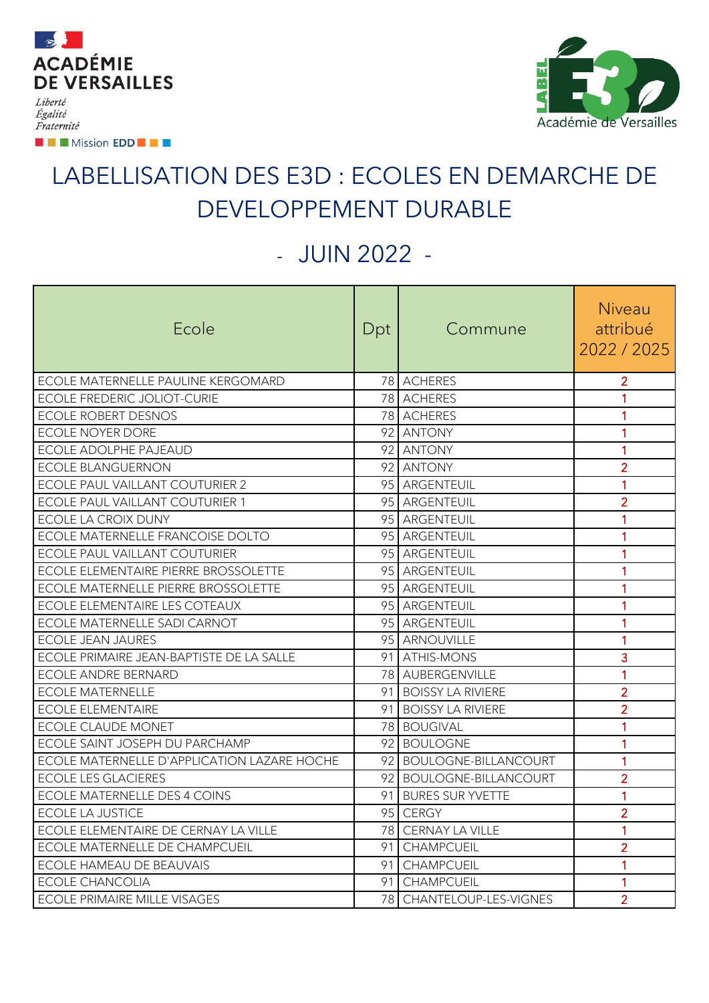

**EXECUTION EDD EXECUT** 

Fraternité

π £ Académie de Versailles

## LABELLISATION DES E3D : ECOLES EN DEMARCHE DE DEVELOPPEMENT DURABLE

## - JUIN 2022 -

| Ecole                                       | Dpt | Commune                  | Niveau<br>attribué |
|---------------------------------------------|-----|--------------------------|--------------------|
|                                             |     |                          | 2022 / 2025        |
| ECOLE MATERNELLE PAULINE KERGOMARD          |     | 78 ACHERES               | $\overline{2}$     |
| <b>ECOLE FREDERIC JOLIOT-CURIE</b>          |     | 78 ACHERES               | $\mathbf{1}$       |
| <b>ECOLE ROBERT DESNOS</b>                  |     | 78 ACHERES               | 1                  |
| <b>ECOLE NOYER DORE</b>                     |     | 92 ANTONY                | 1                  |
| <b>ECOLE ADOLPHE PAJEAUD</b>                |     | 92 ANTONY                | 1                  |
| <b>ECOLE BLANGUERNON</b>                    |     | 92 ANTONY                | $\overline{2}$     |
| ECOLE PAUL VAILLANT COUTURIER 2             |     | 95 ARGENTEUIL            | $\mathbf{1}$       |
| ECOLE PAUL VAILLANT COUTURIER 1             |     | 95 ARGENTEUIL            | $\overline{2}$     |
| ECOLE LA CROIX DUNY                         |     | 95 ARGENTEUIL            | $\mathbf{1}$       |
| ECOLE MATERNELLE FRANCOISE DOLTO            |     | 95 ARGENTEUIL            | $\mathbf{1}$       |
| ECOLE PAUL VAILLANT COUTURIER               |     | 95 ARGENTEUIL            | 1                  |
| ECOLE ELEMENTAIRE PIERRE BROSSOLETTE        |     | 95 ARGENTEUIL            | 1                  |
| ECOLE MATERNELLE PIERRE BROSSOLETTE         |     | 95 ARGENTEUIL            | 1                  |
| ECOLE ELEMENTAIRE LES COTEAUX               |     | 95 ARGENTEUIL            | $\mathbf{1}$       |
| ECOLE MATERNELLE SADI CARNOT                |     | 95 ARGENTEUIL            | $\mathbf{1}$       |
| <b>ECOLE JEAN JAURES</b>                    |     | 95 ARNOUVILLE            | $\mathbf{1}$       |
| ECOLE PRIMAIRE JEAN-BAPTISTE DE LA SALLE    |     | 91 ATHIS-MONS            | 3                  |
| <b>ECOLE ANDRE BERNARD</b>                  |     | 78 AUBERGENVILLE         | 1                  |
| <b>ECOLE MATERNELLE</b>                     |     | 91 BOISSY LA RIVIERE     | $\overline{2}$     |
| <b>ECOLE ELEMENTAIRE</b>                    |     | 91 BOISSY LA RIVIERE     | $\overline{2}$     |
| ECOLE CLAUDE MONET                          |     | 78 BOUGIVAL              | 1                  |
| ECOLE SAINT JOSEPH DU PARCHAMP              |     | 92 BOULOGNE              | 1                  |
| ECOLE MATERNELLE D'APPLICATION LAZARE HOCHE |     | 92 BOULOGNE-BILLANCOURT  | 1                  |
| <b>ECOLE LES GLACIERES</b>                  |     | 92 BOULOGNE-BILLANCOURT  | $\overline{2}$     |
| <b>ECOLE MATERNELLE DES 4 COINS</b>         |     | 91 BURES SUR YVETTE      | $\mathbf{1}$       |
| <b>ECOLE LA JUSTICE</b>                     |     | 95 CERGY                 | $\overline{2}$     |
| ECOLE ELEMENTAIRE DE CERNAY LA VILLE        |     | 78 CERNAY LA VILLE       | 1                  |
| ECOLE MATERNELLE DE CHAMPCUEIL              |     | 91 CHAMPCUEIL            | $\overline{2}$     |
| ECOLE HAMEAU DE BEAUVAIS                    |     | 91 CHAMPCUEIL            | $\mathbf{1}$       |
| <b>ECOLE CHANCOLIA</b>                      |     | 91 CHAMPCUEIL            | 1                  |
| <b>ECOLE PRIMAIRE MILLE VISAGES</b>         |     | 78 CHANTELOUP-LES-VIGNES | $\overline{2}$     |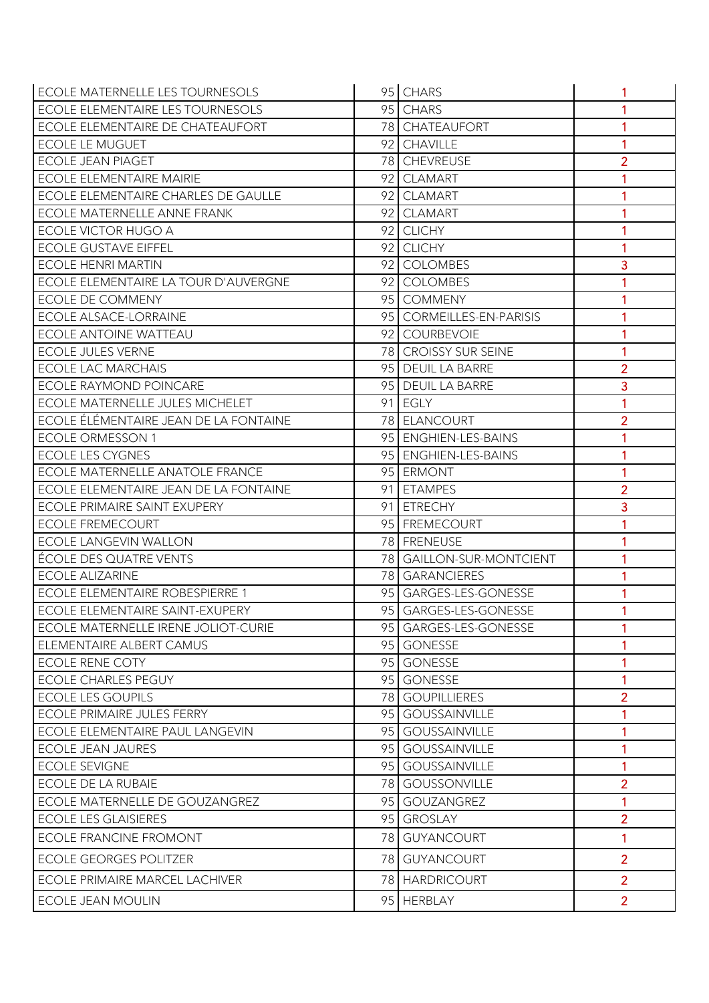| ECOLE MATERNELLE LES TOURNESOLS        | 95 CHARS                 |                |
|----------------------------------------|--------------------------|----------------|
| ECOLE ELEMENTAIRE LES TOURNESOLS       | 95 CHARS                 | 1              |
| ECOLE ELEMENTAIRE DE CHATEAUFORT       | 78 CHATEAUFORT           | 1              |
| <b>ECOLE LE MUGUET</b>                 | 92 CHAVILLE              | 1              |
| <b>ECOLE JEAN PIAGET</b>               | 78 CHEVREUSE             | $\overline{2}$ |
| <b>ECOLE ELEMENTAIRE MAIRIE</b>        | 92 CLAMART               | 1              |
| ECOLE ELEMENTAIRE CHARLES DE GAULLE    | 92 CLAMART               |                |
| <b>ECOLE MATERNELLE ANNE FRANK</b>     | 92 CLAMART               |                |
| ECOLE VICTOR HUGO A                    | 92 CLICHY                | 1              |
| <b>ECOLE GUSTAVE EIFFEL</b>            | 92 CLICHY                | 1              |
| <b>ECOLE HENRI MARTIN</b>              | 92 COLOMBES              | 3              |
| ECOLE ELEMENTAIRE LA TOUR D'AUVERGNE   | 92 COLOMBES              |                |
| <b>ECOLE DE COMMENY</b>                | 95 COMMENY               | 1              |
| <b>ECOLE ALSACE-LORRAINE</b>           | 95 CORMEILLES-EN-PARISIS |                |
| <b>ECOLE ANTOINE WATTEAU</b>           | 92 COURBEVOIE            | 1              |
| <b>ECOLE JULES VERNE</b>               | 78 CROISSY SUR SEINE     | 1              |
| <b>ECOLE LAC MARCHAIS</b>              | 95 DEUIL LA BARRE        | $\overline{2}$ |
| <b>ECOLE RAYMOND POINCARE</b>          | 95 DEUIL LA BARRE        | 3              |
| ECOLE MATERNELLE JULES MICHELET        | 91 EGLY                  | 1              |
| ECOLE ÉLÉMENTAIRE JEAN DE LA FONTAINE  | 78 ELANCOURT             | $\overline{2}$ |
| <b>ECOLE ORMESSON 1</b>                | 95 ENGHIEN-LES-BAINS     | 1              |
| <b>ECOLE LES CYGNES</b>                | 95 ENGHIEN-LES-BAINS     | 1              |
| <b>ECOLE MATERNELLE ANATOLE FRANCE</b> | 95 ERMONT                | 1              |
| ECOLE ELEMENTAIRE JEAN DE LA FONTAINE  | 91 ETAMPES               | $\overline{2}$ |
| ECOLE PRIMAIRE SAINT EXUPERY           | 91 ETRECHY               | 3              |
| <b>ECOLE FREMECOURT</b>                | 95 FREMECOURT            |                |
| <b>ECOLE LANGEVIN WALLON</b>           | 78 FRENEUSE              | 1              |
| ÉCOLE DES QUATRE VENTS                 | 78 GAILLON-SUR-MONTCIENT | 1              |
| <b>ECOLE ALIZARINE</b>                 | 78 GARANCIERES           | 1              |
| ECOLE ELEMENTAIRE ROBESPIERRE 1        | 95 GARGES-LES-GONESSE    |                |
| ECOLE ELEMENTAIRE SAINT-EXUPERY        | 95 GARGES-LES-GONESSE    |                |
| ECOLE MATERNELLE IRENE JOLIOT-CURIE    | 95 GARGES-LES-GONESSE    | 1              |
| ELEMENTAIRE ALBERT CAMUS               | 95 GONESSE               | 1              |
| <b>ECOLE RENE COTY</b>                 | 95 GONESSE               | 1              |
| <b>ECOLE CHARLES PEGUY</b>             | 95 GONESSE               | 1              |
| <b>ECOLE LES GOUPILS</b>               | 78 GOUPILLIERES          | $\overline{2}$ |
| <b>ECOLE PRIMAIRE JULES FERRY</b>      | 95 GOUSSAINVILLE         | 1              |
| ECOLE ELEMENTAIRE PAUL LANGEVIN        | 95 GOUSSAINVILLE         |                |
| <b>ECOLE JEAN JAURES</b>               | 95 GOUSSAINVILLE         | 1              |
| <b>ECOLE SEVIGNE</b>                   | 95 GOUSSAINVILLE         | $\mathbf{1}$   |
| ECOLE DE LA RUBAIE                     | 78 GOUSSONVILLE          | $\overline{2}$ |
| ECOLE MATERNELLE DE GOUZANGREZ         | 95 GOUZANGREZ            | 1              |
| <b>ECOLE LES GLAISIERES</b>            | 95 GROSLAY               | $\overline{2}$ |
| <b>ECOLE FRANCINE FROMONT</b>          | 78 GUYANCOURT            | 1              |
| <b>ECOLE GEORGES POLITZER</b>          | 78 GUYANCOURT            | $\overline{2}$ |
| ECOLE PRIMAIRE MARCEL LACHIVER         | 78 HARDRICOURT           | $\overline{2}$ |
| <b>ECOLE JEAN MOULIN</b>               | 95 HERBLAY               | $\overline{2}$ |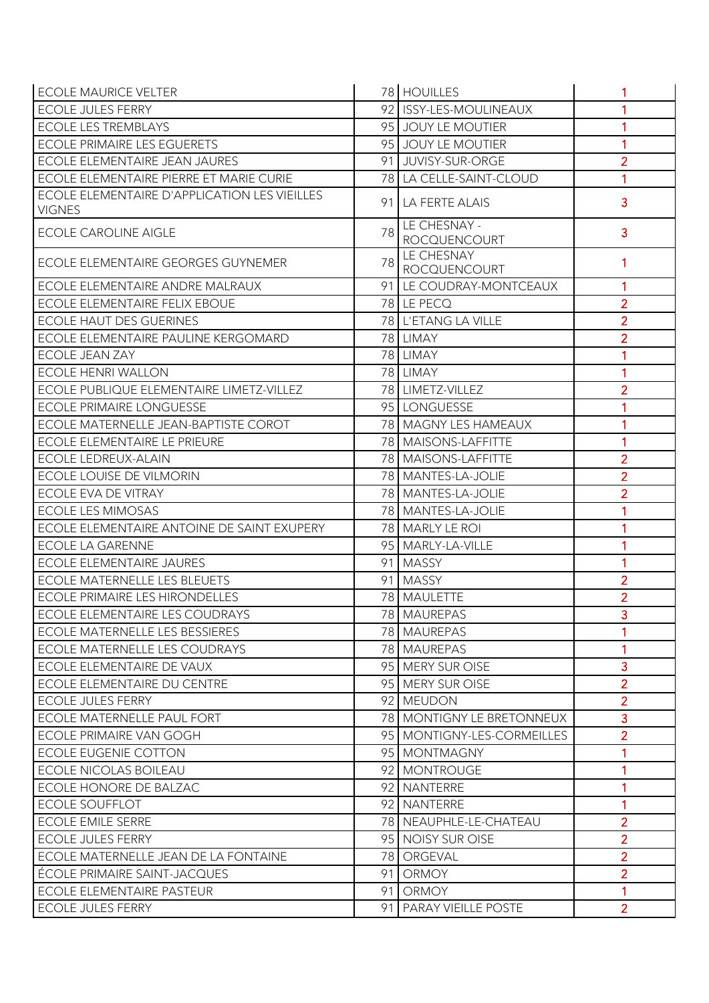| <b>ECOLE MAURICE VELTER</b>                                   |    | 78 HOUILLES                         |                |
|---------------------------------------------------------------|----|-------------------------------------|----------------|
| <b>ECOLE JULES FERRY</b>                                      |    | 92 ISSY-LES-MOULINEAUX              | 1              |
| <b>ECOLE LES TREMBLAYS</b>                                    |    | 95 JOUY LE MOUTIER                  | 1              |
| <b>ECOLE PRIMAIRE LES EGUERETS</b>                            |    | 95 JOUY LE MOUTIER                  | 1              |
| ECOLE ELEMENTAIRE JEAN JAURES                                 |    | 91 JUVISY-SUR-ORGE                  | $\overline{2}$ |
| ECOLE ELEMENTAIRE PIERRE ET MARIE CURIE                       |    | 78 LA CELLE-SAINT-CLOUD             | 1              |
| ECOLE ELEMENTAIRE D'APPLICATION LES VIEILLES<br><b>VIGNES</b> |    | 91 LA FERTE ALAIS                   | 3              |
| <b>ECOLE CAROLINE AIGLE</b>                                   | 78 | LE CHESNAY -<br><b>ROCQUENCOURT</b> | 3              |
| ECOLE ELEMENTAIRE GEORGES GUYNEMER                            | 78 | LE CHESNAY<br>ROCQUENCOURT          |                |
| ECOLE ELEMENTAIRE ANDRE MALRAUX                               |    | 91 LE COUDRAY-MONTCEAUX             | 1              |
| <b>ECOLE ELEMENTAIRE FELIX EBOUE</b>                          |    | 78 LE PECQ                          | $\overline{2}$ |
| <b>ECOLE HAUT DES GUERINES</b>                                |    | 78 L'ETANG LA VILLE                 | $\overline{2}$ |
| ECOLE ELEMENTAIRE PAULINE KERGOMARD                           |    | 78 LIMAY                            | $\overline{2}$ |
| ECOLE JEAN ZAY                                                |    | 78 LIMAY                            |                |
| <b>ECOLE HENRI WALLON</b>                                     |    | 78 LIMAY                            |                |
| ECOLE PUBLIQUE ELEMENTAIRE LIMETZ-VILLEZ                      |    | 78 LIMETZ-VILLEZ                    | $\overline{2}$ |
| <b>ECOLE PRIMAIRE LONGUESSE</b>                               |    | 95 LONGUESSE                        |                |
| ECOLE MATERNELLE JEAN-BAPTISTE COROT                          |    | 78 MAGNY LES HAMEAUX                |                |
| ECOLE ELEMENTAIRE LE PRIEURE                                  |    | 78   MAISONS-LAFFITTE               | 1              |
| <b>ECOLE LEDREUX-ALAIN</b>                                    |    | 78 MAISONS-LAFFITTE                 | $\overline{2}$ |
| <b>ECOLE LOUISE DE VILMORIN</b>                               |    | 78 MANTES-LA-JOLIE                  | $\overline{2}$ |
| ECOLE EVA DE VITRAY                                           |    | 78 MANTES-LA-JOLIE                  | $\overline{2}$ |
| <b>ECOLE LES MIMOSAS</b>                                      |    | 78 MANTES-LA-JOLIE                  |                |
| ECOLE ELEMENTAIRE ANTOINE DE SAINT EXUPERY                    |    | 78 MARLY LE ROI                     |                |
| <b>ECOLE LA GARENNE</b>                                       |    | 95 MARLY-LA-VILLE                   | 1              |
| <b>ECOLE ELEMENTAIRE JAURES</b>                               |    | 91 MASSY                            | 1              |
| <b>ECOLE MATERNELLE LES BLEUETS</b>                           |    | 91 MASSY                            | $\overline{2}$ |
| <b>ECOLE PRIMAIRE LES HIRONDELLES</b>                         |    | 78 MAULETTE                         | $\overline{2}$ |
| <b>ECOLE ELEMENTAIRE LES COUDRAYS</b>                         |    | 78 MAUREPAS                         | 3              |
| ECOLE MATERNELLE LES BESSIERES                                |    | 78 MAUREPAS                         | 1              |
| ECOLE MATERNELLE LES COUDRAYS                                 |    | 78 MAUREPAS                         | 1              |
| ECOLE ELEMENTAIRE DE VAUX                                     |    | 95 MERY SUR OISE                    | 3              |
| ECOLE ELEMENTAIRE DU CENTRE                                   |    | 95 MERY SUR OISE                    | $\overline{2}$ |
| <b>ECOLE JULES FERRY</b>                                      |    | 92 MEUDON                           | $\overline{2}$ |
| <b>ECOLE MATERNELLE PAUL FORT</b>                             |    | 78 MONTIGNY LE BRETONNEUX           | $\overline{3}$ |
| ECOLE PRIMAIRE VAN GOGH                                       |    | 95   MONTIGNY-LES-CORMEILLES        | $\overline{2}$ |
| <b>ECOLE EUGENIE COTTON</b>                                   |    | 95 MONTMAGNY                        | 1              |
| <b>ECOLE NICOLAS BOILEAU</b>                                  |    | 92 MONTROUGE                        | 1              |
| ECOLE HONORE DE BALZAC                                        |    | 92 NANTERRE                         | 1              |
| <b>ECOLE SOUFFLOT</b>                                         |    | 92 NANTERRE                         | 1              |
| <b>ECOLE EMILE SERRE</b>                                      |    | 78 NEAUPHLE-LE-CHATEAU              | $\overline{2}$ |
| <b>ECOLE JULES FERRY</b>                                      |    | 95 NOISY SUR OISE                   | $\overline{2}$ |
| ECOLE MATERNELLE JEAN DE LA FONTAINE                          |    | 78 ORGEVAL                          | $\overline{2}$ |
| ÉCOLE PRIMAIRE SAINT-JACQUES                                  |    | 91 ORMOY                            | $\overline{2}$ |
| ECOLE ELEMENTAIRE PASTEUR                                     |    | 91 ORMOY                            | 1              |
| <b>ECOLE JULES FERRY</b>                                      |    | 91   PARAY VIEILLE POSTE            | $\overline{2}$ |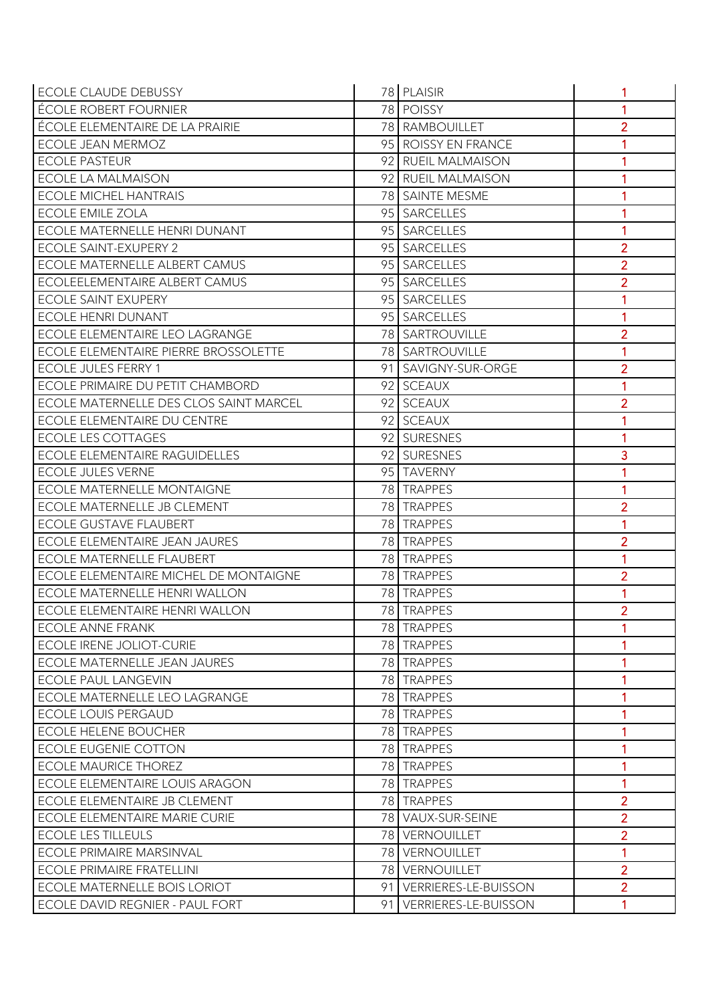| <b>ECOLE CLAUDE DEBUSSY</b>            | 78 PLAISIR              |                |
|----------------------------------------|-------------------------|----------------|
| <b>ÉCOLE ROBERT FOURNIER</b>           | 78 POISSY               | 1              |
| ÉCOLE ELEMENTAIRE DE LA PRAIRIE        | 78 RAMBOUILLET          | $\overline{2}$ |
| ECOLE JEAN MERMOZ                      | 95 ROISSY EN FRANCE     |                |
| <b>ECOLE PASTEUR</b>                   | 92 RUEIL MALMAISON      |                |
| <b>ECOLE LA MALMAISON</b>              | 92 RUEIL MALMAISON      |                |
| <b>ECOLE MICHEL HANTRAIS</b>           | 78 SAINTE MESME         |                |
| <b>ECOLE EMILE ZOLA</b>                | 95 SARCELLES            |                |
| <b>ECOLE MATERNELLE HENRI DUNANT</b>   | 95 SARCELLES            | 1              |
| ECOLE SAINT-EXUPERY 2                  | 95 SARCELLES            | $\overline{2}$ |
| ECOLE MATERNELLE ALBERT CAMUS          | 95 SARCELLES            | $\overline{2}$ |
| ECOLEELEMENTAIRE ALBERT CAMUS          | 95 SARCELLES            | $\overline{2}$ |
| <b>ECOLE SAINT EXUPERY</b>             | 95 SARCELLES            | 1              |
| <b>ECOLE HENRI DUNANT</b>              | 95 SARCELLES            | $\mathbf{1}$   |
| ECOLE ELEMENTAIRE LEO LAGRANGE         | 78 SARTROUVILLE         | $\overline{2}$ |
| ECOLE ELEMENTAIRE PIERRE BROSSOLETTE   | 78   SARTROUVILLE       | 1              |
| <b>ECOLE JULES FERRY 1</b>             | 91 SAVIGNY-SUR-ORGE     | $\overline{2}$ |
| ECOLE PRIMAIRE DU PETIT CHAMBORD       | 92 SCEAUX               | 1              |
| ECOLE MATERNELLE DES CLOS SAINT MARCEL | 92 SCEAUX               | $\overline{2}$ |
| ECOLE ELEMENTAIRE DU CENTRE            | 92 SCEAUX               | 1              |
| <b>ECOLE LES COTTAGES</b>              | 92 SURESNES             | 1              |
| ECOLE ELEMENTAIRE RAGUIDELLES          | 92 SURESNES             | 3              |
| <b>ECOLE JULES VERNE</b>               | 95 TAVERNY              | 1              |
| <b>ECOLE MATERNELLE MONTAIGNE</b>      | 78 TRAPPES              |                |
| ECOLE MATERNELLE JB CLEMENT            | 78 TRAPPES              | $\overline{2}$ |
| <b>ECOLE GUSTAVE FLAUBERT</b>          | 78 TRAPPES              | 1              |
| ECOLE ELEMENTAIRE JEAN JAURES          | 78 TRAPPES              | $\overline{2}$ |
| <b>ECOLE MATERNELLE FLAUBERT</b>       | 78 TRAPPES              | 1              |
| ECOLE ELEMENTAIRE MICHEL DE MONTAIGNE  | 78 TRAPPES              | $\overline{2}$ |
| ECOLE MATERNELLE HENRI WALLON          | 78 TRAPPES              |                |
| ECOLE ELEMENTAIRE HENRI WALLON         | 78 TRAPPES              | $\overline{2}$ |
| <b>ECOLE ANNE FRANK</b>                | 78 TRAPPES              | 1              |
| <b>ECOLE IRENE JOLIOT-CURIE</b>        | 78 TRAPPES              | 1              |
| <b>ECOLE MATERNELLE JEAN JAURES</b>    | 78 TRAPPES              | 1              |
| <b>ECOLE PAUL LANGEVIN</b>             | 78 TRAPPES              | 1              |
| ECOLE MATERNELLE LEO LAGRANGE          | 78 TRAPPES              | 1              |
| <b>ECOLE LOUIS PERGAUD</b>             | 78 TRAPPES              | 1              |
| <b>ECOLE HELENE BOUCHER</b>            | 78 TRAPPES              | 1              |
| <b>ECOLE EUGENIE COTTON</b>            | 78 TRAPPES              | 1              |
| <b>ECOLE MAURICE THOREZ</b>            | 78 TRAPPES              | 1              |
| <b>ECOLE ELEMENTAIRE LOUIS ARAGON</b>  | 78 TRAPPES              | 1              |
| ECOLE ELEMENTAIRE JB CLEMENT           | 78 TRAPPES              | $\overline{2}$ |
| ECOLE ELEMENTAIRE MARIE CURIE          | 78 VAUX-SUR-SEINE       | $\overline{2}$ |
| <b>ECOLE LES TILLEULS</b>              | 78   VERNOUILLET        | $\overline{2}$ |
| <b>ECOLE PRIMAIRE MARSINVAL</b>        | 78   VERNOUILLET        | $\mathbf{1}$   |
| <b>ECOLE PRIMAIRE FRATELLINI</b>       | 78   VERNOUILLET        | $\overline{2}$ |
| ECOLE MATERNELLE BOIS LORIOT           | 91 VERRIERES-LE-BUISSON | $\overline{2}$ |
| ECOLE DAVID REGNIER - PAUL FORT        | 91 VERRIERES-LE-BUISSON | 1              |